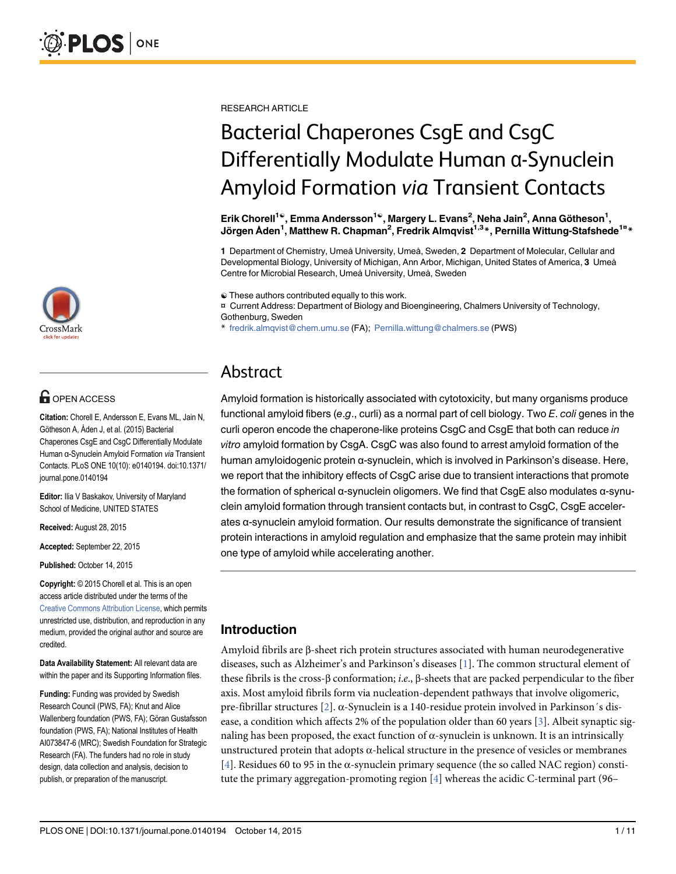

# **G** OPEN ACCESS

Citation: Chorell E, Andersson E, Evans ML, Jain N, Götheson A, Åden J, et al. (2015) Bacterial Chaperones CsgE and CsgC Differentially Modulate Human α-Synuclein Amyloid Formation via Transient Contacts. PLoS ONE 10(10): e0140194. doi:10.1371/ journal.pone.0140194

Editor: Ilia V Baskakov, University of Maryland School of Medicine, UNITED STATES

Received: August 28, 2015

Accepted: September 22, 2015

Published: October 14, 2015

Copyright: © 2015 Chorell et al. This is an open access article distributed under the terms of the Creative Commons Attribution License, which permits unrestricted use, distribution, and reproduction in any medium, provided the original author and source are credited.

Data Availability Statement: All relevant data are within the paper and its Supporting Information files.

Funding: Funding was provided by Swedish Research Council (PWS, FA); Knut and Alice Wallenberg foundation (PWS, FA); Göran Gustafsson foundation (PWS, FA); National Institutes of Health AI073847-6 (MRC); Swedish Foundation for Strategic Research (FA). The funders had no role in study design, data collection and analysis, decision to publish, or preparation of the manuscript.

RESEARCH ARTICLE

# Bacterial Chaperones CsgE and CsgC Differentially Modulate Human α-Synuclein Amyloid Formation via Transient Contacts

Erik Chorell<sup>1©</sup>, Emma Andersson<sup>1©</sup>, Margery L. Evans<sup>2</sup>, Neha Jain<sup>2</sup>, Anna Götheson<sup>1</sup>, Jörgen Åden<sup>1</sup>, Matthew R. Chapman<sup>2</sup>, Fredrik Almqvist<sup>1,3\*</sup>, Pernilla Wittung-Stafshede<sup>1¤\*</sup>

1 Department of Chemistry, Umeå University, Umeå, Sweden, 2 Department of Molecular, Cellular and Developmental Biology, University of Michigan, Ann Arbor, Michigan, United States of America, 3 Umeå Centre for Microbial Research, Umeå University, Umeå, Sweden

☯ These authors contributed equally to this work.

¤ Current Address: Department of Biology and Bioengineering, Chalmers University of Technology, Gothenburg, Sweden

\* fredrik.almqvist@chem.umu.se (FA); Pernilla.wittung@chalmers.se (PWS)

# Abstract

Amyloid formation is historically associated with cytotoxicity, but many organisms produce functional amyloid fibers (e.g., curli) as a normal part of cell biology. Two  $E$ , coli genes in the curli operon encode the chaperone-like proteins CsgC and CsgE that both can reduce in vitro amyloid formation by CsgA. CsgC was also found to arrest amyloid formation of the human amyloidogenic protein α-synuclein, which is involved in Parkinson's disease. Here, we report that the inhibitory effects of CsgC arise due to transient interactions that promote the formation of spherical α-synuclein oligomers. We find that CsgE also modulates α-synuclein amyloid formation through transient contacts but, in contrast to CsgC, CsgE accelerates α-synuclein amyloid formation. Our results demonstrate the significance of transient protein interactions in amyloid regulation and emphasize that the same protein may inhibit one type of amyloid while accelerating another.

## Introduction

Amyloid fibrils are β-sheet rich protein structures associated with human neurodegenerative diseases, such as Alzheimer's and Parkinson's diseases [1]. The common structural element of these fibrils is the cross-β conformation; i.e., β-sheets that are packed perpendicular to the fiber axis. Most amyloid fibrils form via nucleation-dependent pathways that involve oligomeric, pre-fibrillar structures [2]. α-Synuclein is a 140-residue protein involved in Parkinson´s disease, a condition which affects 2% of the population older than 60 years  $[3]$ . Albeit synaptic signaling has been proposed, the exact function of  $\alpha$ -synuclein is unknown. It is an intrinsically unstructured protein that adopts  $\alpha$ -helical structure in the presence of vesicles or membranes [4]. Residues 60 to 95 in the α-synuclein primary sequence (the so called NAC region) constitute the primary aggregation-promoting region  $[4]$  whereas the acidic C-terminal part (96–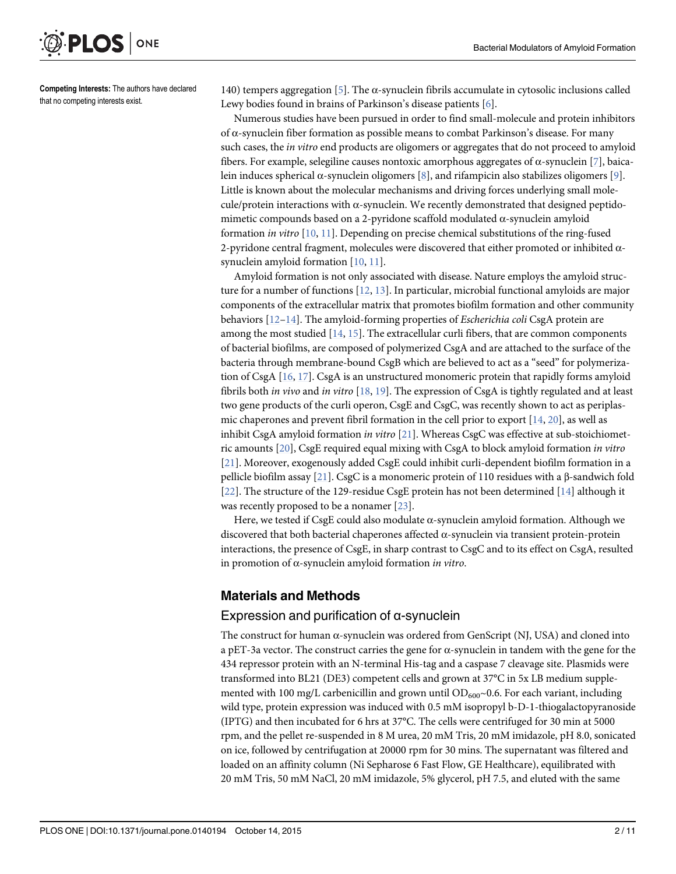

Competing Interests: The authors have declared that no competing interests exist.

140) tempers aggregation [5]. The  $\alpha$ -synuclein fibrils accumulate in cytosolic inclusions called Lewy bodies found in brains of Parkinson's disease patients [6].

Numerous studies have been pursued in order to find small-molecule and protein inhibitors of α-synuclein fiber formation as possible means to combat Parkinson's disease. For many such cases, the *in vitro* end products are oligomers or aggregates that do not proceed to amyloid fibers. For example, selegiline causes nontoxic amorphous aggregates of α-synuclein [7], baicalein induces spherical α-synuclein oligomers [8], and rifampicin also stabilizes oligomers [9]. Little is known about the molecular mechanisms and driving forces underlying small molecule/protein interactions with  $\alpha$ -synuclein. We recently demonstrated that designed peptidomimetic compounds based on a 2-pyridone scaffold modulated α-synuclein amyloid formation in vitro  $[10, 11]$ . Depending on precise chemical substitutions of the ring-fused 2-pyridone central fragment, molecules were discovered that either promoted or inhibited  $\alpha$ synuclein amyloid formation [10, 11].

Amyloid formation is not only associated with disease. Nature employs the amyloid structure for a number of functions [12, 13]. In particular, microbial functional amyloids are major components of the extracellular matrix that promotes biofilm formation and other community behaviors  $[12-14]$ . The amyloid-forming properties of *Escherichia coli* CsgA protein are among the most studied  $[14, 15]$ . The extracellular curli fibers, that are common components of bacterial biofilms, are composed of polymerized CsgA and are attached to the surface of the bacteria through membrane-bound CsgB which are believed to act as a "seed" for polymerization of CsgA [16, 17]. CsgA is an unstructured monomeric protein that rapidly forms amyloid fibrils both in vivo and in vitro  $[18, 19]$ . The expression of CsgA is tightly regulated and at least two gene products of the curli operon, CsgE and CsgC, was recently shown to act as periplasmic chaperones and prevent fibril formation in the cell prior to export  $[14, 20]$ , as well as inhibit CsgA amyloid formation in vitro [21]. Whereas CsgC was effective at sub-stoichiometric amounts [20], CsgE required equal mixing with CsgA to block amyloid formation in vitro [21]. Moreover, exogenously added CsgE could inhibit curli-dependent biofilm formation in a pellicle biofilm assay [21]. CsgC is a monomeric protein of 110 residues with a β-sandwich fold [22]. The structure of the 129-residue CsgE protein has not been determined [14] although it was recently proposed to be a nonamer [23].

Here, we tested if CsgE could also modulate  $\alpha$ -synuclein amyloid formation. Although we discovered that both bacterial chaperones affected  $\alpha$ -synuclein via transient protein-protein interactions, the presence of CsgE, in sharp contrast to CsgC and to its effect on CsgA, resulted in promotion of  $\alpha$ -synuclein amyloid formation in vitro.

#### Materials and Methods

#### Expression and purification of α-synuclein

The construct for human  $\alpha$ -synuclein was ordered from GenScript (NJ, USA) and cloned into a pET-3a vector. The construct carries the gene for  $\alpha$ -synuclein in tandem with the gene for the 434 repressor protein with an N-terminal His-tag and a caspase 7 cleavage site. Plasmids were transformed into BL21 (DE3) competent cells and grown at 37°C in 5x LB medium supplemented with 100 mg/L carbenicillin and grown until  $OD_{600}$ ~0.6. For each variant, including wild type, protein expression was induced with 0.5 mM isopropyl b-D-1-thiogalactopyranoside (IPTG) and then incubated for 6 hrs at 37°C. The cells were centrifuged for 30 min at 5000 rpm, and the pellet re-suspended in 8 M urea, 20 mM Tris, 20 mM imidazole, pH 8.0, sonicated on ice, followed by centrifugation at 20000 rpm for 30 mins. The supernatant was filtered and loaded on an affinity column (Ni Sepharose 6 Fast Flow, GE Healthcare), equilibrated with 20 mM Tris, 50 mM NaCl, 20 mM imidazole, 5% glycerol, pH 7.5, and eluted with the same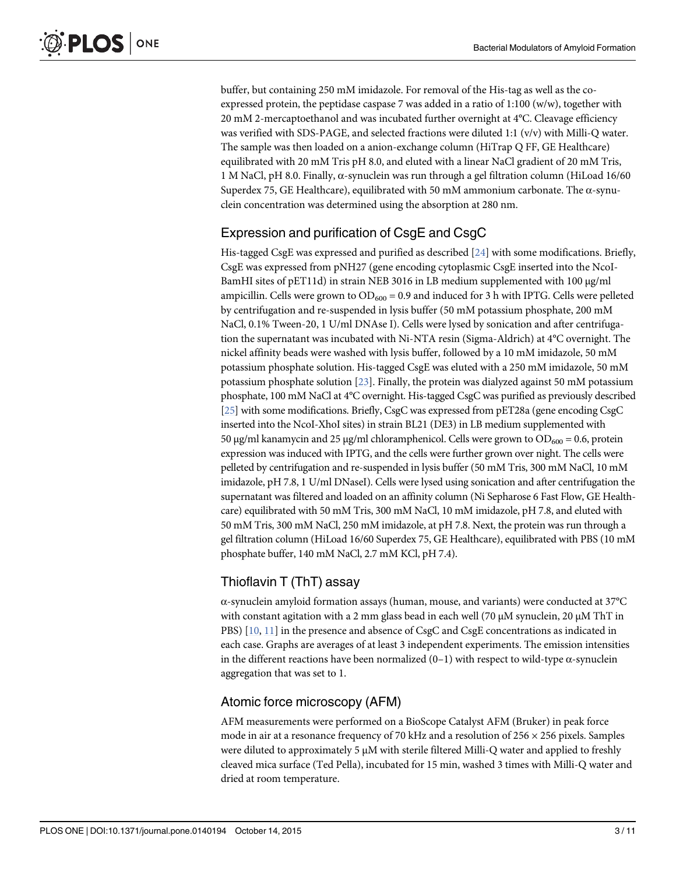buffer, but containing 250 mM imidazole. For removal of the His-tag as well as the coexpressed protein, the peptidase caspase 7 was added in a ratio of 1:100 (w/w), together with 20 mM 2-mercaptoethanol and was incubated further overnight at 4°C. Cleavage efficiency was verified with SDS-PAGE, and selected fractions were diluted 1:1 (v/v) with Milli-Q water. The sample was then loaded on a anion-exchange column (HiTrap Q FF, GE Healthcare) equilibrated with 20 mM Tris pH 8.0, and eluted with a linear NaCl gradient of 20 mM Tris, 1 M NaCl, pH 8.0. Finally, α-synuclein was run through a gel filtration column (HiLoad 16/60 Superdex 75, GE Healthcare), equilibrated with 50 mM ammonium carbonate. The α-synuclein concentration was determined using the absorption at 280 nm.

# Expression and purification of CsgE and CsgC

His-tagged CsgE was expressed and purified as described  $[24]$  with some modifications. Briefly, CsgE was expressed from pNH27 (gene encoding cytoplasmic CsgE inserted into the NcoI-BamHI sites of pET11d) in strain NEB 3016 in LB medium supplemented with 100 μg/ml ampicillin. Cells were grown to  $OD_{600} = 0.9$  and induced for 3 h with IPTG. Cells were pelleted by centrifugation and re-suspended in lysis buffer (50 mM potassium phosphate, 200 mM NaCl, 0.1% Tween-20, 1 U/ml DNAse I). Cells were lysed by sonication and after centrifugation the supernatant was incubated with Ni-NTA resin (Sigma-Aldrich) at 4°C overnight. The nickel affinity beads were washed with lysis buffer, followed by a 10 mM imidazole, 50 mM potassium phosphate solution. His-tagged CsgE was eluted with a 250 mM imidazole, 50 mM potassium phosphate solution  $[23]$ . Finally, the protein was dialyzed against 50 mM potassium phosphate, 100 mM NaCl at 4°C overnight. His-tagged CsgC was purified as previously described [25] with some modifications. Briefly, CsgC was expressed from pET28a (gene encoding CsgC inserted into the NcoI-XhoI sites) in strain BL21 (DE3) in LB medium supplemented with 50 μg/ml kanamycin and 25 μg/ml chloramphenicol. Cells were grown to  $OD_{600} = 0.6$ , protein expression was induced with IPTG, and the cells were further grown over night. The cells were pelleted by centrifugation and re-suspended in lysis buffer (50 mM Tris, 300 mM NaCl, 10 mM imidazole, pH 7.8, 1 U/ml DNaseI). Cells were lysed using sonication and after centrifugation the supernatant was filtered and loaded on an affinity column (Ni Sepharose 6 Fast Flow, GE Healthcare) equilibrated with 50 mM Tris, 300 mM NaCl, 10 mM imidazole, pH 7.8, and eluted with 50 mM Tris, 300 mM NaCl, 250 mM imidazole, at pH 7.8. Next, the protein was run through a gel filtration column (HiLoad 16/60 Superdex 75, GE Healthcare), equilibrated with PBS (10 mM phosphate buffer, 140 mM NaCl, 2.7 mM KCl, pH 7.4).

# Thioflavin T (ThT) assay

α-synuclein amyloid formation assays (human, mouse, and variants) were conducted at 37°C with constant agitation with a 2 mm glass bead in each well (70  $\mu$ M synuclein, 20  $\mu$ M ThT in PBS) [10, 11] in the presence and absence of CsgC and CsgE concentrations as indicated in each case. Graphs are averages of at least 3 independent experiments. The emission intensities in the different reactions have been normalized  $(0-1)$  with respect to wild-type  $\alpha$ -synuclein aggregation that was set to 1.

## Atomic force microscopy (AFM)

AFM measurements were performed on a BioScope Catalyst AFM (Bruker) in peak force mode in air at a resonance frequency of 70 kHz and a resolution of  $256 \times 256$  pixels. Samples were diluted to approximately 5 μM with sterile filtered Milli-Q water and applied to freshly cleaved mica surface (Ted Pella), incubated for 15 min, washed 3 times with Milli-Q water and dried at room temperature.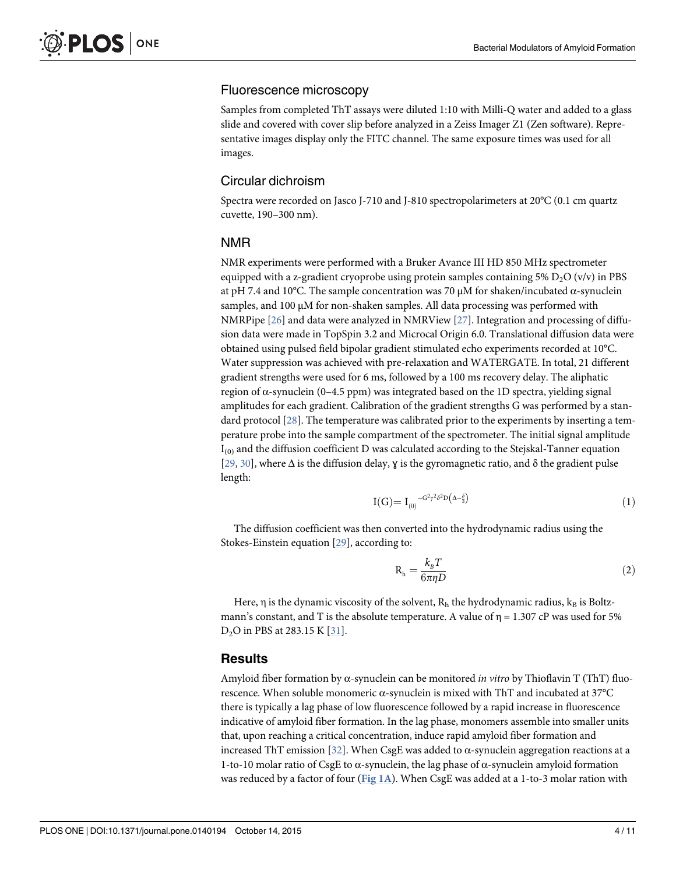#### Fluorescence microscopy

Samples from completed ThT assays were diluted 1:10 with Milli-Q water and added to a glass slide and covered with cover slip before analyzed in a Zeiss Imager Z1 (Zen software). Representative images display only the FITC channel. The same exposure times was used for all images.

#### Circular dichroism

Spectra were recorded on Jasco J-710 and J-810 spectropolarimeters at 20°C (0.1 cm quartz cuvette, 190–300 nm).

#### NMR

NMR experiments were performed with a Bruker Avance III HD 850 MHz spectrometer equipped with a z-gradient cryoprobe using protein samples containing 5%  $D_2O (v/v)$  in PBS at pH 7.4 and 10°C. The sample concentration was 70 μM for shaken/incubated α-synuclein samples, and 100 μM for non-shaken samples. All data processing was performed with NMRPipe [26] and data were analyzed in NMRView [27]. Integration and processing of diffusion data were made in TopSpin 3.2 and Microcal Origin 6.0. Translational diffusion data were obtained using pulsed field bipolar gradient stimulated echo experiments recorded at 10°C. Water suppression was achieved with pre-relaxation and WATERGATE. In total, 21 different gradient strengths were used for 6 ms, followed by a 100 ms recovery delay. The aliphatic region of α-synuclein  $(0-4.5$  ppm) was integrated based on the 1D spectra, yielding signal amplitudes for each gradient. Calibration of the gradient strengths G was performed by a standard protocol [28]. The temperature was calibrated prior to the experiments by inserting a temperature probe into the sample compartment of the spectrometer. The initial signal amplitude  $I_{(0)}$  and the diffusion coefficient D was calculated according to the Stejskal-Tanner equation [29, 30], where Δ is the diffusion delay, ɣ is the gyromagnetic ratio, and δ the gradient pulse length:

$$
I(G) = I_{(0)}^{\quad -G^2 \gamma^2 \delta^2 D\left(\Delta - \frac{\delta}{3}\right)}\tag{1}
$$

The diffusion coefficient was then converted into the hydrodynamic radius using the Stokes-Einstein equation [29], according to:

$$
R_h = \frac{k_B T}{6\pi \eta D} \tag{2}
$$

Here,  $\eta$  is the dynamic viscosity of the solvent,  $R_h$  the hydrodynamic radius,  $k_B$  is Boltzmann's constant, and T is the absolute temperature. A value of  $\eta = 1.307$  cP was used for 5%  $D_2O$  in PBS at 283.15 K  $[31]$ .

#### **Results**

Amyloid fiber formation by  $\alpha$ -synuclein can be monitored *in vitro* by Thioflavin T (ThT) fluorescence. When soluble monomeric α-synuclein is mixed with ThT and incubated at 37°C there is typically a lag phase of low fluorescence followed by a rapid increase in fluorescence indicative of amyloid fiber formation. In the lag phase, monomers assemble into smaller units that, upon reaching a critical concentration, induce rapid amyloid fiber formation and increased ThT emission [32]. When CsgE was added to α-synuclein aggregation reactions at a 1-to-10 molar ratio of CsgE to α-synuclein, the lag phase of α-synuclein amyloid formation was reduced by a factor of four ( $Fig 1A$ ). When CsgE was added at a 1-to-3 molar ration with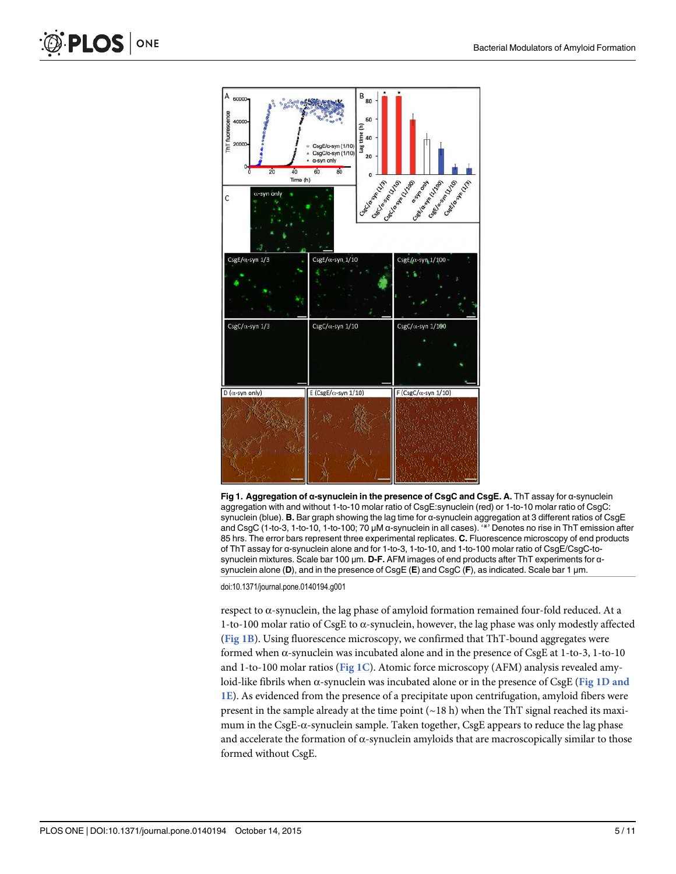

Fig 1. Aggregation of α-synuclein in the presence of CsgC and CsgE. A. ThT assay for α-synuclein aggregation with and without 1-to-10 molar ratio of CsgE:synuclein (red) or 1-to-10 molar ratio of CsgC: synuclein (blue). B. Bar graph showing the lag time for α-synuclein aggregation at 3 different ratios of CsgE and CsgC (1-to-3, 1-to-10, 1-to-100; 70 μM α-synuclein in all cases). '\*' Denotes no rise in ThT emission after 85 hrs. The error bars represent three experimental replicates. C. Fluorescence microscopy of end products of ThT assay for α-synuclein alone and for 1-to-3, 1-to-10, and 1-to-100 molar ratio of CsgE/CsgC-tosynuclein mixtures. Scale bar 100 μm. D-F. AFM images of end products after ThT experiments for αsynuclein alone (D), and in the presence of CsgE (E) and CsgC (F), as indicated. Scale bar 1 μm.

doi:10.1371/journal.pone.0140194.g001

respect to  $\alpha$ -synuclein, the lag phase of amyloid formation remained four-fold reduced. At a 1-to-100 molar ratio of CsgE to  $\alpha$ -synuclein, however, the lag phase was only modestly affected (Fig 1B). Using fluorescence microscopy, we confirmed that ThT-bound aggregates were formed when α-synuclein was incubated alone and in the presence of CsgE at 1-to-3, 1-to-10 and 1-to-100 molar ratios (Fig 1C). Atomic force microscopy (AFM) analysis revealed amyloid-like fibrils when α-synuclein was incubated alone or in the presence of CsgE (Fig 1D and 1E). As evidenced from the presence of a precipitate upon centrifugation, amyloid fibers were present in the sample already at the time point  $({\sim}18 \text{ h})$  when the ThT signal reached its maximum in the CsgE-α-synuclein sample. Taken together, CsgE appears to reduce the lag phase and accelerate the formation of  $\alpha$ -synuclein amyloids that are macroscopically similar to those formed without CsgE.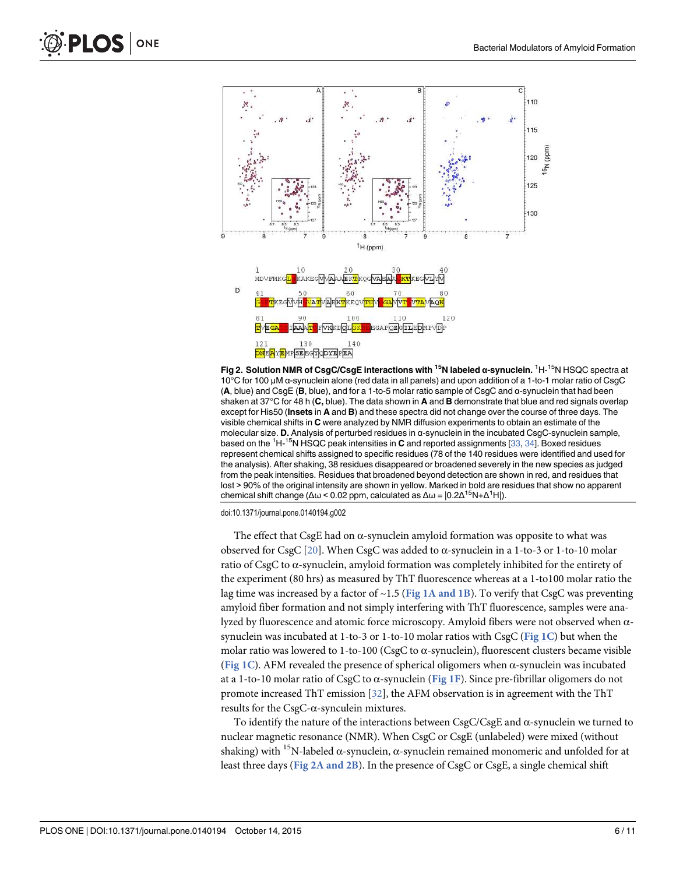

Fig 2. Solution NMR of CsgC/CsgE interactions with <sup>15</sup>N labeled α-synuclein. <sup>1</sup>H-<sup>15</sup>N HSQC spectra at 10°C for 100 μM α-synuclein alone (red data in all panels) and upon addition of a 1-to-1 molar ratio of CsgC (A, blue) and CsgE (B, blue), and for a 1-to-5 molar ratio sample of CsgC and α-synuclein that had been shaken at 37°C for 48 h (C, blue). The data shown in A and B demonstrate that blue and red signals overlap except for His50 (Insets in A and B) and these spectra did not change over the course of three days. The visible chemical shifts in C were analyzed by NMR diffusion experiments to obtain an estimate of the molecular size. D. Analysis of perturbed residues in α-synuclein in the incubated CsgC-synuclein sample, based on the  ${}^{1}$ H- ${}^{15}$ N HSQC peak intensities in **C** and reported assignments [33, 34]. Boxed residues represent chemical shifts assigned to specific residues (78 of the 140 residues were identified and used for the analysis). After shaking, 38 residues disappeared or broadened severely in the new species as judged from the peak intensities. Residues that broadened beyond detection are shown in red, and residues that lost > 90% of the original intensity are shown in yellow. Marked in bold are residues that show no apparent chemical shift change (Δω < 0.02 ppm, calculated as  $\Delta \omega = |0.2\Delta^{15}N + \Delta^{1}H|$ ).

doi:10.1371/journal.pone.0140194.g002

The effect that CsgE had on  $\alpha$ -synuclein amyloid formation was opposite to what was observed for CsgC [20]. When CsgC was added to α-synuclein in a 1-to-3 or 1-to-10 molar ratio of CsgC to α-synuclein, amyloid formation was completely inhibited for the entirety of the experiment (80 hrs) as measured by ThT fluorescence whereas at a 1-to100 molar ratio the lag time was increased by a factor of  $\sim$ 1.5 (Fig 1A and 1B). To verify that CsgC was preventing amyloid fiber formation and not simply interfering with ThT fluorescence, samples were analyzed by fluorescence and atomic force microscopy. Amyloid fibers were not observed when  $α$ synuclein was incubated at 1-to-3 or 1-to-10 molar ratios with CsgC (Fig 1C) but when the molar ratio was lowered to 1-to-100 (CsgC to  $\alpha$ -synuclein), fluorescent clusters became visible (Fig 1C). AFM revealed the presence of spherical oligomers when  $\alpha$ -synuclein was incubated at a 1-to-10 molar ratio of CsgC to α-synuclein (Fig 1F). Since pre-fibrillar oligomers do not promote increased ThT emission [32], the AFM observation is in agreement with the ThT results for the CsgC-α-synculein mixtures.

To identify the nature of the interactions between  $CsgC/CsgE$  and  $\alpha$ -synuclein we turned to nuclear magnetic resonance (NMR). When CsgC or CsgE (unlabeled) were mixed (without shaking) with <sup>15</sup>N-labeled  $\alpha$ -synuclein,  $\alpha$ -synuclein remained monomeric and unfolded for at least three days (Fig 2A and 2B). In the presence of CsgC or CsgE, a single chemical shift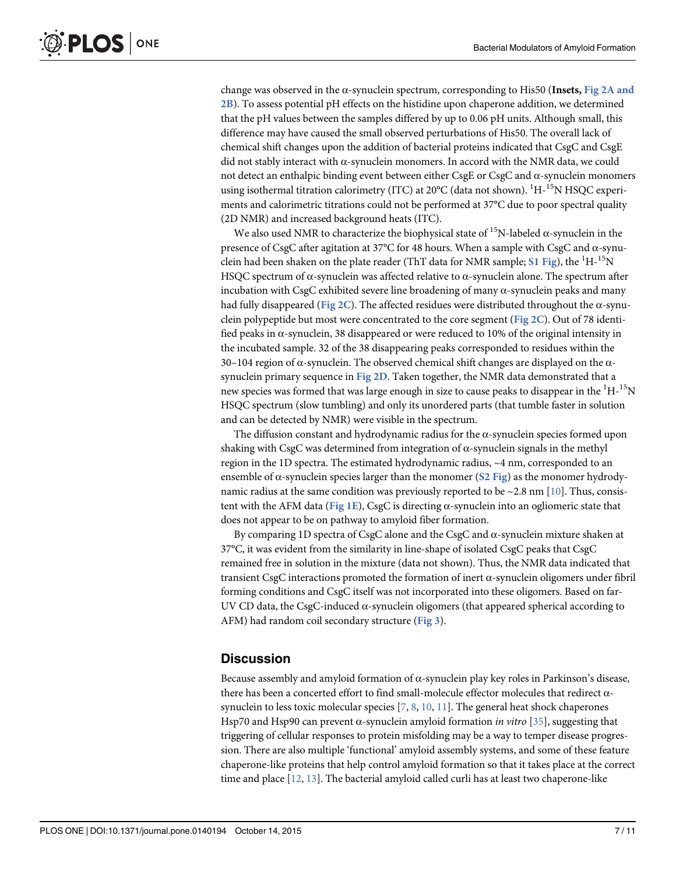change was observed in the  $\alpha$ -synuclein spectrum, corresponding to His50 (Insets, Fig 2A and 2B). To assess potential pH effects on the histidine upon chaperone addition, we determined that the pH values between the samples differed by up to 0.06 pH units. Although small, this difference may have caused the small observed perturbations of His50. The overall lack of chemical shift changes upon the addition of bacterial proteins indicated that CsgC and CsgE did not stably interact with  $\alpha$ -synuclein monomers. In accord with the NMR data, we could not detect an enthalpic binding event between either CsgE or CsgC and α-synuclein monomers using isothermal titration calorimetry (ITC) at  $20^{\circ}$ C (data not shown).  $^{1}$ H-<sup>15</sup>N HSQC experiments and calorimetric titrations could not be performed at 37°C due to poor spectral quality (2D NMR) and increased background heats (ITC).

We also used NMR to characterize the biophysical state of <sup>15</sup>N-labeled  $\alpha$ -synuclein in the presence of CsgC after agitation at 37°C for 48 hours. When a sample with CsgC and α-synuclein had been shaken on the plate reader (ThT data for NMR sample; S1 Fig), the  ${}^{1}H-{}^{15}N$ HSQC spectrum of  $\alpha$ -synuclein was affected relative to  $\alpha$ -synuclein alone. The spectrum after incubation with CsgC exhibited severe line broadening of many  $\alpha$ -synuclein peaks and many had fully disappeared (Fig 2C). The affected residues were distributed throughout the α-synuclein polypeptide but most were concentrated to the core segment (Fig 2C). Out of 78 identified peaks in  $\alpha$ -synuclein, 38 disappeared or were reduced to 10% of the original intensity in the incubated sample. 32 of the 38 disappearing peaks corresponded to residues within the 30–104 region of α-synuclein. The observed chemical shift changes are displayed on the  $α$ synuclein primary sequence in Fig 2D. Taken together, the NMR data demonstrated that a new species was formed that was large enough in size to cause peaks to disappear in the  ${}^{1}H-{}^{15}N$ HSQC spectrum (slow tumbling) and only its unordered parts (that tumble faster in solution and can be detected by NMR) were visible in the spectrum.

The diffusion constant and hydrodynamic radius for the  $\alpha$ -synuclein species formed upon shaking with CsgC was determined from integration of  $\alpha$ -synuclein signals in the methyl region in the 1D spectra. The estimated hydrodynamic radius, ~4 nm, corresponded to an ensemble of  $\alpha$ -synuclein species larger than the monomer (S2 Fig) as the monomer hydrodynamic radius at the same condition was previously reported to be  $\sim$  2.8 nm [10]. Thus, consistent with the AFM data (Fig 1E), CsgC is directing  $\alpha$ -synuclein into an ogliomeric state that does not appear to be on pathway to amyloid fiber formation.

By comparing 1D spectra of CsgC alone and the CsgC and  $\alpha$ -synuclein mixture shaken at 37°C, it was evident from the similarity in line-shape of isolated CsgC peaks that CsgC remained free in solution in the mixture (data not shown). Thus, the NMR data indicated that transient CsgC interactions promoted the formation of inert α-synuclein oligomers under fibril forming conditions and CsgC itself was not incorporated into these oligomers. Based on far-UV CD data, the CsgC-induced  $\alpha$ -synuclein oligomers (that appeared spherical according to AFM) had random coil secondary structure (Fig 3).

#### **Discussion**

Because assembly and amyloid formation of α-synuclein play key roles in Parkinson's disease, there has been a concerted effort to find small-molecule effector molecules that redirect αsynuclein to less toxic molecular species  $[7, 8, 10, 11]$ . The general heat shock chaperones Hsp70 and Hsp90 can prevent α-synuclein amyloid formation *in vitro* [35], suggesting that triggering of cellular responses to protein misfolding may be a way to temper disease progression. There are also multiple 'functional' amyloid assembly systems, and some of these feature chaperone-like proteins that help control amyloid formation so that it takes place at the correct time and place  $[12, 13]$ . The bacterial amyloid called curli has at least two chaperone-like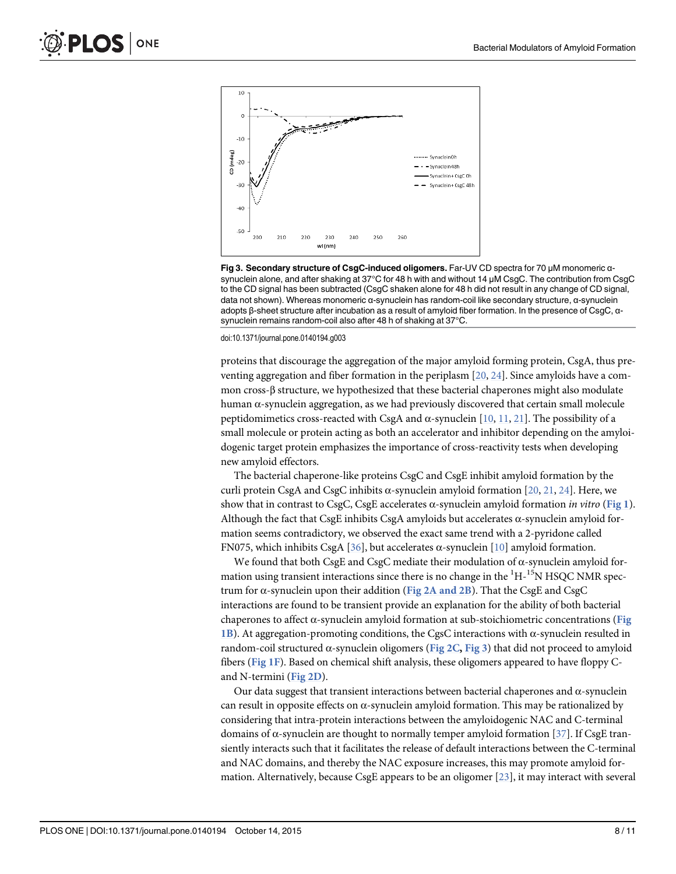

Fig 3. Secondary structure of CsgC-induced oligomers. Far-UV CD spectra for 70 μM monomeric αsynuclein alone, and after shaking at 37°C for 48 h with and without 14 μM CsgC. The contribution from CsgC to the CD signal has been subtracted (CsgC shaken alone for 48 h did not result in any change of CD signal, data not shown). Whereas monomeric α-synuclein has random-coil like secondary structure, α-synuclein adopts β-sheet structure after incubation as a result of amyloid fiber formation. In the presence of CsgC, αsynuclein remains random-coil also after 48 h of shaking at 37°C.

doi:10.1371/journal.pone.0140194.g003

proteins that discourage the aggregation of the major amyloid forming protein, CsgA, thus preventing aggregation and fiber formation in the periplasm [20, 24]. Since amyloids have a common cross-β structure, we hypothesized that these bacterial chaperones might also modulate human α-synuclein aggregation, as we had previously discovered that certain small molecule peptidomimetics cross-reacted with CsgA and α-synuclein  $[10, 11, 21]$ . The possibility of a small molecule or protein acting as both an accelerator and inhibitor depending on the amyloidogenic target protein emphasizes the importance of cross-reactivity tests when developing new amyloid effectors.

The bacterial chaperone-like proteins CsgC and CsgE inhibit amyloid formation by the curli protein CsgA and CsgC inhibits α-synuclein amyloid formation  $[20, 21, 24]$ . Here, we show that in contrast to CsgC, CsgE accelerates α-synuclein amyloid formation in vitro (Fig 1). Although the fact that CsgE inhibits CsgA amyloids but accelerates  $\alpha$ -synuclein amyloid formation seems contradictory, we observed the exact same trend with a 2-pyridone called FN075, which inhibits CsgA [36], but accelerates  $\alpha$ -synuclein [10] amyloid formation.

We found that both CsgE and CsgC mediate their modulation of α-synuclein amyloid formation using transient interactions since there is no change in the  ${}^{1}H-{}^{15}N$  HSQC NMR spectrum for  $\alpha$ -synuclein upon their addition (Fig 2A and 2B). That the CsgE and CsgC interactions are found to be transient provide an explanation for the ability of both bacterial chaperones to affect  $\alpha$ -synuclein amyloid formation at sub-stoichiometric concentrations (Fig 1B). At aggregation-promoting conditions, the CgsC interactions with  $\alpha$ -synuclein resulted in random-coil structured α-synuclein oligomers (Fig 2C, Fig 3) that did not proceed to amyloid fibers (Fig 1F). Based on chemical shift analysis, these oligomers appeared to have floppy  $C$ and N-termini (Fig 2D).

Our data suggest that transient interactions between bacterial chaperones and α-synuclein can result in opposite effects on  $\alpha$ -synuclein amyloid formation. This may be rationalized by considering that intra-protein interactions between the amyloidogenic NAC and C-terminal domains of α-synuclein are thought to normally temper amyloid formation [37]. If CsgE transiently interacts such that it facilitates the release of default interactions between the C-terminal and NAC domains, and thereby the NAC exposure increases, this may promote amyloid formation. Alternatively, because CsgE appears to be an oligomer [23], it may interact with several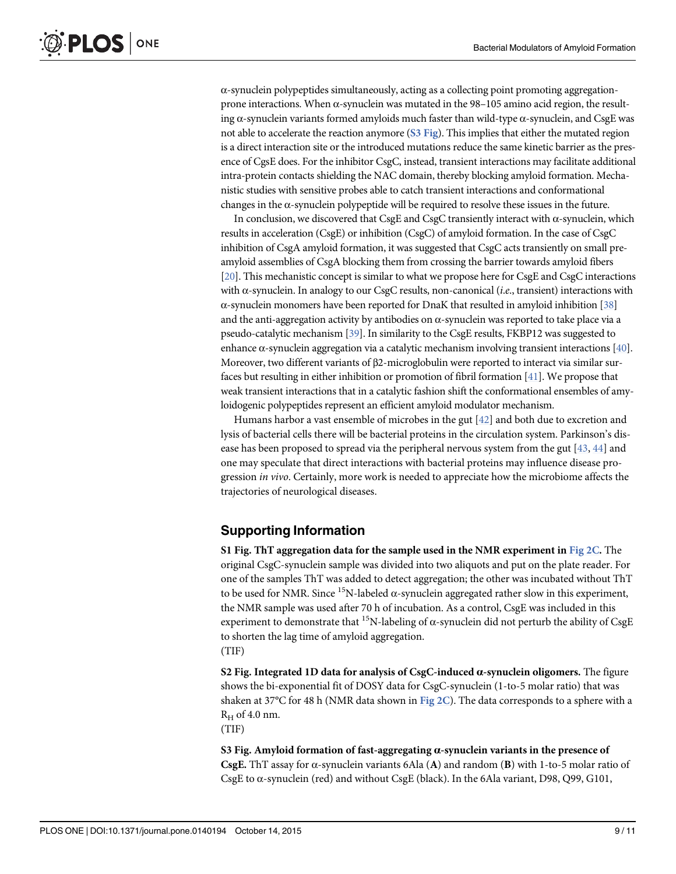$\alpha$ -synuclein polypeptides simultaneously, acting as a collecting point promoting aggregationprone interactions. When α-synuclein was mutated in the 98–105 amino acid region, the resulting  $\alpha$ -synuclein variants formed amyloids much faster than wild-type  $\alpha$ -synuclein, and CsgE was not able to accelerate the reaction anymore (S3 Fig). This implies that either the mutated region is a direct interaction site or the introduced mutations reduce the same kinetic barrier as the presence of CgsE does. For the inhibitor CsgC, instead, transient interactions may facilitate additional intra-protein contacts shielding the NAC domain, thereby blocking amyloid formation. Mechanistic studies with sensitive probes able to catch transient interactions and conformational changes in the  $\alpha$ -synuclein polypeptide will be required to resolve these issues in the future.

In conclusion, we discovered that CsgE and CsgC transiently interact with α-synuclein, which results in acceleration (CsgE) or inhibition (CsgC) of amyloid formation. In the case of CsgC inhibition of CsgA amyloid formation, it was suggested that CsgC acts transiently on small preamyloid assemblies of CsgA blocking them from crossing the barrier towards amyloid fibers [20]. This mechanistic concept is similar to what we propose here for CsgE and CsgC interactions with  $\alpha$ -synuclein. In analogy to our CsgC results, non-canonical (*i.e.*, transient) interactions with  $\alpha$ -synuclein monomers have been reported for DnaK that resulted in amyloid inhibition [38] and the anti-aggregation activity by antibodies on  $\alpha$ -synuclein was reported to take place via a pseudo-catalytic mechanism [39]. In similarity to the CsgE results, FKBP12 was suggested to enhance α-synuclein aggregation via a catalytic mechanism involving transient interactions [40]. Moreover, two different variants of β2-microglobulin were reported to interact via similar surfaces but resulting in either inhibition or promotion of fibril formation [41]. We propose that weak transient interactions that in a catalytic fashion shift the conformational ensembles of amyloidogenic polypeptides represent an efficient amyloid modulator mechanism.

Humans harbor a vast ensemble of microbes in the gut  $[42]$  and both due to excretion and lysis of bacterial cells there will be bacterial proteins in the circulation system. Parkinson's disease has been proposed to spread via the peripheral nervous system from the gut [43, 44] and one may speculate that direct interactions with bacterial proteins may influence disease progression in vivo. Certainly, more work is needed to appreciate how the microbiome affects the trajectories of neurological diseases.

## Supporting Information

S1 Fig. ThT aggregation data for the sample used in the NMR experiment in Fig 2C. The original CsgC-synuclein sample was divided into two aliquots and put on the plate reader. For one of the samples ThT was added to detect aggregation; the other was incubated without ThT to be used for NMR. Since <sup>15</sup>N-labeled  $\alpha$ -synuclein aggregated rather slow in this experiment, the NMR sample was used after 70 h of incubation. As a control, CsgE was included in this experiment to demonstrate that  $^{15}N$ -labeling of  $\alpha$ -synuclein did not perturb the ability of CsgE to shorten the lag time of amyloid aggregation. (TIF)

S2 Fig. Integrated 1D data for analysis of CsgC-induced α-synuclein oligomers. The figure shows the bi-exponential fit of DOSY data for CsgC-synuclein (1-to-5 molar ratio) that was shaken at 37°C for 48 h (NMR data shown in Fig  $2C$ ). The data corresponds to a sphere with a  $R_H$  of 4.0 nm.

(TIF)

S3 Fig. Amyloid formation of fast-aggregating α-synuclein variants in the presence of CsgE. ThT assay for  $\alpha$ -synuclein variants 6Ala (A) and random (B) with 1-to-5 molar ratio of CsgE to α-synuclein (red) and without CsgE (black). In the 6Ala variant, D98, Q99, G101,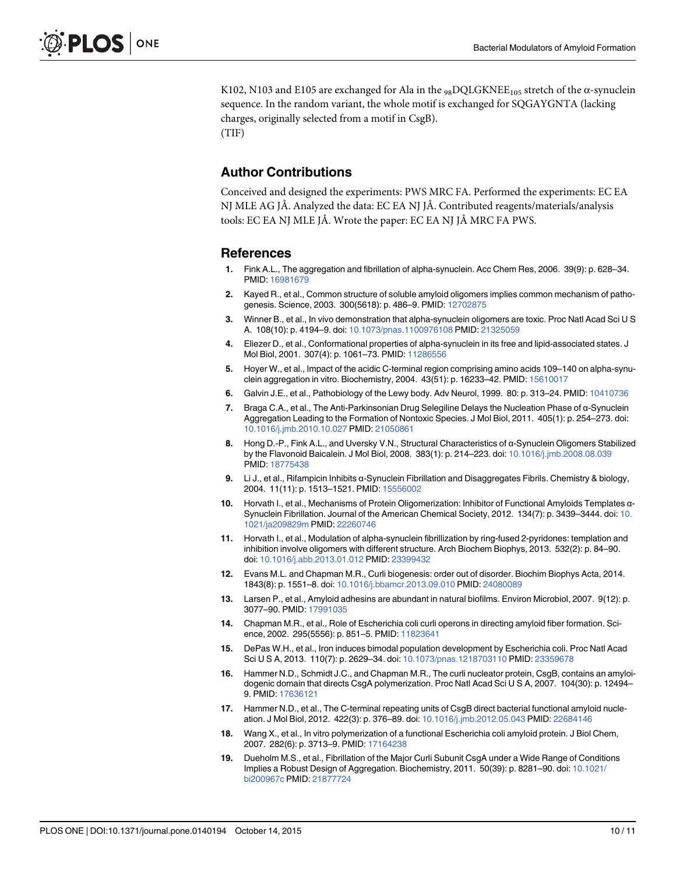K102, N103 and E105 are exchanged for Ala in the  $_{98}$ DQLGKNEE<sub>105</sub> stretch of the  $\alpha$ -synuclein sequence. In the random variant, the whole motif is exchanged for SQGAYGNTA (lacking charges, originally selected from a motif in CsgB).

(TIF)

#### Author Contributions

Conceived and designed the experiments: PWS MRC FA. Performed the experiments: EC EA NJ MLE AG JÅ. Analyzed the data: EC EA NJ JÅ. Contributed reagents/materials/analysis tools: EC EA NJ MLE JÅ. Wrote the paper: EC EA NJ JÅ MRC FA PWS.

#### References

- 1. Fink A.L., The aggregation and fibrillation of alpha-synuclein. Acc Chem Res, 2006. 39(9): p. 628–34. PMID: 16981679
- 2. Kayed R., et al., Common structure of soluble amyloid oligomers implies common mechanism of pathogenesis. Science, 2003. 300(5618): p. 486-9. PMID: 12702875
- 3. Winner B., et al., In vivo demonstration that alpha-synuclein oligomers are toxic. Proc Natl Acad Sci U S A. 108(10): p. 4194–9. doi: 10.1073/pnas.1100976108 PMID: 21325059
- 4. Eliezer D., et al., Conformational properties of alpha-synuclein in its free and lipid-associated states. J Mol Biol, 2001. 307(4): p. 1061–73. PMID: 11286556
- 5. Hoyer W., et al., Impact of the acidic C-terminal region comprising amino acids 109–140 on alpha-synuclein aggregation in vitro. Biochemistry, 2004. 43(51): p. 16233-42. PMID: 15610017
- 6. Galvin J.E., et al., Pathobiology of the Lewy body. Adv Neurol, 1999. 80: p. 313–24. PMID: 10410736
- 7. Braga C.A., et al., The Anti-Parkinsonian Drug Selegiline Delays the Nucleation Phase of α-Synuclein Aggregation Leading to the Formation of Nontoxic Species. J Mol Biol, 2011. 405(1): p. 254–273. doi: 10.1016/j.jmb.2010.10.027 PMID: 21050861
- 8. Hong D.-P., Fink A.L., and Uversky V.N., Structural Characteristics of α-Synuclein Oligomers Stabilized by the Flavonoid Baicalein. J Mol Biol, 2008. 383(1): p. 214–223. doi: 10.1016/j.jmb.2008.08.039 PMID: 18775438
- 9. Li J., et al., Rifampicin Inhibits α-Synuclein Fibrillation and Disaggregates Fibrils. Chemistry & biology, 2004. 11(11): p. 1513–1521. PMID: 15556002
- 10. Horvath I., et al., Mechanisms of Protein Oligomerization: Inhibitor of Functional Amyloids Templates α-Synuclein Fibrillation. Journal of the American Chemical Society, 2012. 134(7): p. 3439–3444. doi: 10. 1021/ja209829m PMID: 22260746
- 11. Horvath I., et al., Modulation of alpha-synuclein fibrillization by ring-fused 2-pyridones: templation and inhibition involve oligomers with different structure. Arch Biochem Biophys, 2013. 532(2): p. 84–90. doi: 10.1016/j.abb.2013.01.012 PMID: 23399432
- 12. Evans M.L. and Chapman M.R., Curli biogenesis: order out of disorder. Biochim Biophys Acta, 2014. 1843(8): p. 1551–8. doi: 10.1016/j.bbamcr.2013.09.010 PMID: 24080089
- 13. Larsen P., et al., Amyloid adhesins are abundant in natural biofilms. Environ Microbiol, 2007. 9(12): p. 3077–90. PMID: 17991035
- 14. Chapman M.R., et al., Role of Escherichia coli curli operons in directing amyloid fiber formation. Science, 2002. 295(5556): p. 851–5. PMID: 11823641
- 15. DePas W.H., et al., Iron induces bimodal population development by Escherichia coli. Proc Natl Acad Sci U S A, 2013. 110(7): p. 2629–34. doi: 10.1073/pnas.1218703110 PMID: 23359678
- 16. Hammer N.D., Schmidt J.C., and Chapman M.R., The curli nucleator protein, CsgB, contains an amyloidogenic domain that directs CsgA polymerization. Proc Natl Acad Sci U S A, 2007. 104(30): p. 12494– 9. PMID: 17636121
- 17. Hammer N.D., et al., The C-terminal repeating units of CsgB direct bacterial functional amyloid nucleation. J Mol Biol, 2012. 422(3): p. 376–89. doi: 10.1016/j.jmb.2012.05.043 PMID: 22684146
- 18. Wang X., et al., In vitro polymerization of a functional Escherichia coli amyloid protein. J Biol Chem, 2007. 282(6): p. 3713–9. PMID: 17164238
- 19. Dueholm M.S., et al., Fibrillation of the Major Curli Subunit CsgA under a Wide Range of Conditions Implies a Robust Design of Aggregation. Biochemistry, 2011. 50(39): p. 8281–90. doi: 10.1021/ bi200967c PMID: 21877724